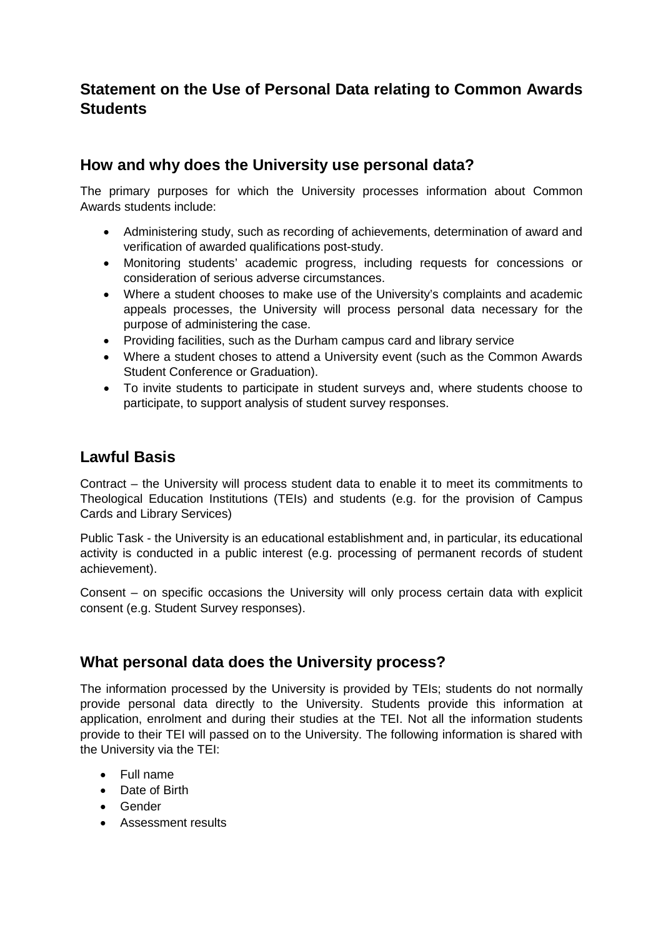# **Statement on the Use of Personal Data relating to Common Awards Students**

### **How and why does the University use personal data?**

The primary purposes for which the University processes information about Common Awards students include:

- Administering study, such as recording of achievements, determination of award and verification of awarded qualifications post-study.
- Monitoring students' academic progress, including requests for concessions or consideration of serious adverse circumstances.
- Where a student chooses to make use of the University's complaints and academic appeals processes, the University will process personal data necessary for the purpose of administering the case.
- Providing facilities, such as the Durham campus card and library service
- Where a student choses to attend a University event (such as the Common Awards Student Conference or Graduation).
- To invite students to participate in student surveys and, where students choose to participate, to support analysis of student survey responses.

## **Lawful Basis**

Contract – the University will process student data to enable it to meet its commitments to Theological Education Institutions (TEIs) and students (e.g. for the provision of Campus Cards and Library Services)

Public Task - the University is an educational establishment and, in particular, its educational activity is conducted in a public interest (e.g. processing of permanent records of student achievement).

Consent – on specific occasions the University will only process certain data with explicit consent (e.g. Student Survey responses).

### **What personal data does the University process?**

The information processed by the University is provided by TEIs; students do not normally provide personal data directly to the University. Students provide this information at application, enrolment and during their studies at the TEI. Not all the information students provide to their TEI will passed on to the University. The following information is shared with the University via the TEI:

- Full name
- Date of Birth
- Gender
- Assessment results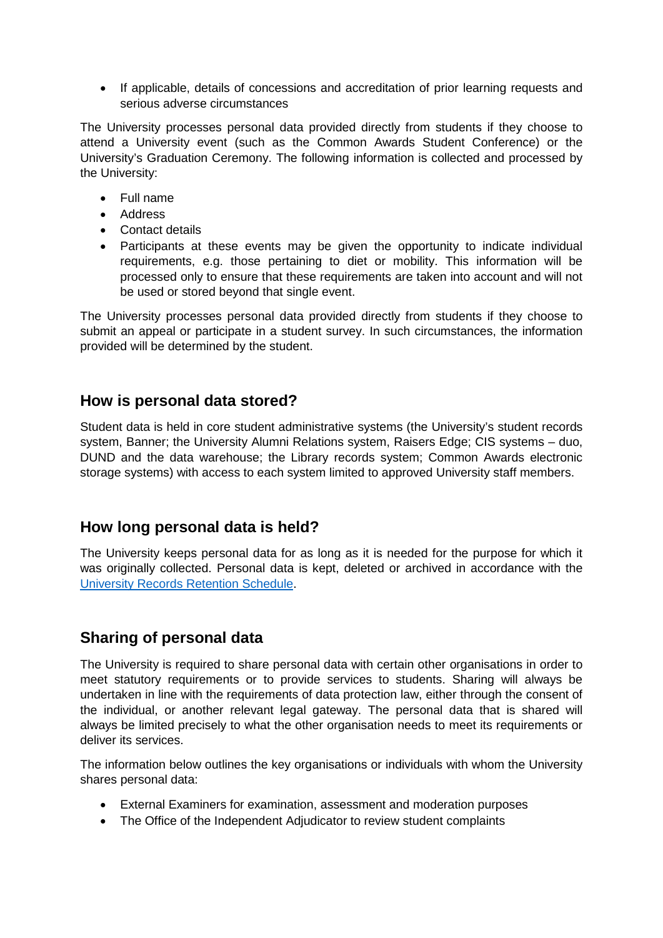• If applicable, details of concessions and accreditation of prior learning requests and serious adverse circumstances

The University processes personal data provided directly from students if they choose to attend a University event (such as the Common Awards Student Conference) or the University's Graduation Ceremony. The following information is collected and processed by the University:

- Full name
- Address
- Contact details
- Participants at these events may be given the opportunity to indicate individual requirements, e.g. those pertaining to diet or mobility. This information will be processed only to ensure that these requirements are taken into account and will not be used or stored beyond that single event.

The University processes personal data provided directly from students if they choose to submit an appeal or participate in a student survey. In such circumstances, the information provided will be determined by the student.

#### **How is personal data stored?**

Student data is held in core student administrative systems (the University's student records system, Banner; the University Alumni Relations system, Raisers Edge; CIS systems – duo, DUND and the data warehouse; the Library records system; Common Awards electronic storage systems) with access to each system limited to approved University staff members.

### **How long personal data is held?**

The University keeps personal data for as long as it is needed for the purpose for which it was originally collected. Personal data is kept, deleted or archived in accordance with the [University Records Retention Schedule.](https://www.dur.ac.uk/ig/rim/retention/)

## **Sharing of personal data**

The University is required to share personal data with certain other organisations in order to meet statutory requirements or to provide services to students. Sharing will always be undertaken in line with the requirements of data protection law, either through the consent of the individual, or another relevant legal gateway. The personal data that is shared will always be limited precisely to what the other organisation needs to meet its requirements or deliver its services.

The information below outlines the key organisations or individuals with whom the University shares personal data:

- External Examiners for examination, assessment and moderation purposes
- The Office of the Independent Adjudicator to review student complaints